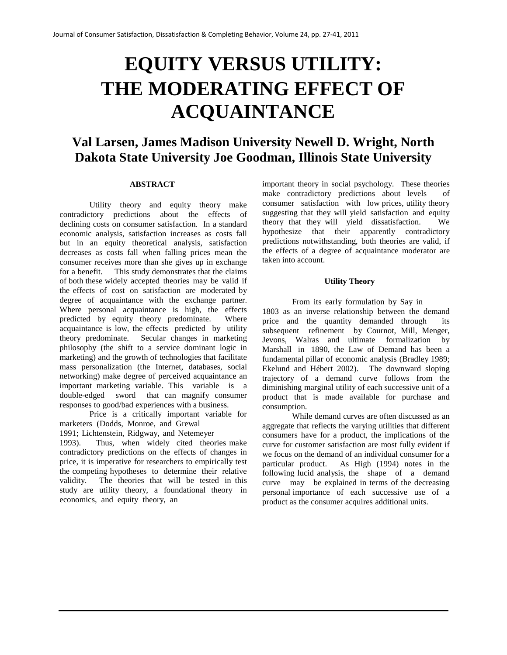# **EQUITY VERSUS UTILITY: THE MODERATING EFFECT OF ACQUAINTANCE**

# **Val Larsen, James Madison University Newell D. Wright, North Dakota State University Joe Goodman, Illinois State University**

#### **ABSTRACT**

Utility theory and equity theory make contradictory predictions about the effects of declining costs on consumer satisfaction. In a standard economic analysis, satisfaction increases as costs fall but in an equity theoretical analysis, satisfaction decreases as costs fall when falling prices mean the consumer receives more than she gives up in exchange for a benefit. This study demonstrates that the claims of both these widely accepted theories may be valid if the effects of cost on satisfaction are moderated by degree of acquaintance with the exchange partner. Where personal acquaintance is high, the effects predicted by equity theory predominate. Where acquaintance is low, the effects predicted by utility theory predominate. Secular changes in marketing philosophy (the shift to a service dominant logic in marketing) and the growth of technologies that facilitate mass personalization (the Internet, databases, social networking) make degree of perceived acquaintance an important marketing variable. This variable is a double-edged sword that can magnify consumer responses to good/bad experiences with a business.

Price is a critically important variable for marketers (Dodds, Monroe, and Grewal

1991; Lichtenstein, Ridgway, and Netemeyer

1993). Thus, when widely cited theories make contradictory predictions on the effects of changes in price, it is imperative for researchers to empirically test the competing hypotheses to determine their relative validity. The theories that will be tested in this study are utility theory, a foundational theory in economics, and equity theory, an

important theory in social psychology. These theories make contradictory predictions about levels of consumer satisfaction with low prices, utility theory suggesting that they will yield satisfaction and equity theory that they will yield dissatisfaction. We hypothesize that their apparently contradictory predictions notwithstanding, both theories are valid, if the effects of a degree of acquaintance moderator are taken into account.

#### **Utility Theory**

From its early formulation by Say in 1803 as an inverse relationship between the demand price and the quantity demanded through subsequent refinement by Cournot, Mill, Menger, Jevons, Walras and ultimate formalization by Marshall in 1890, the Law of Demand has been a fundamental pillar of economic analysis (Bradley 1989; Ekelund and Hébert 2002). The downward sloping trajectory of a demand curve follows from the diminishing marginal utility of each successive unit of a product that is made available for purchase and consumption.

While demand curves are often discussed as an aggregate that reflects the varying utilities that different consumers have for a product, the implications of the curve for customer satisfaction are most fully evident if we focus on the demand of an individual consumer for a particular product. As High (1994) notes in the following lucid analysis, the shape of a demand curve may be explained in terms of the decreasing personal importance of each successive use of a product as the consumer acquires additional units.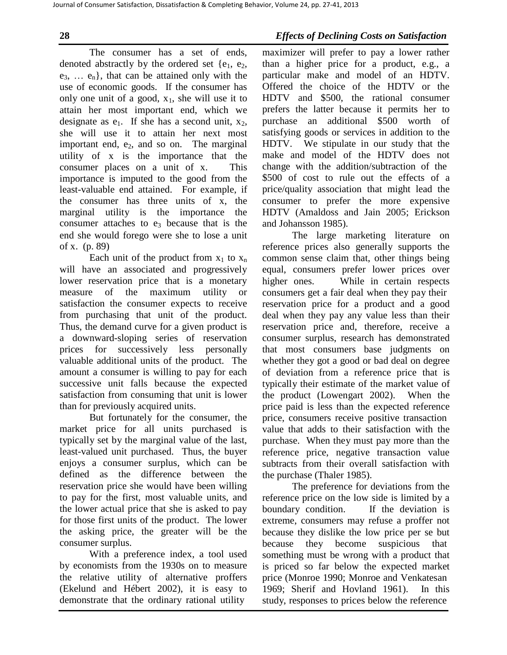The consumer has a set of ends, denoted abstractly by the ordered set  $\{e_1, e_2,$  $e_3, \ldots, e_n$ , that can be attained only with the use of economic goods. If the consumer has only one unit of a good,  $x_1$ , she will use it to attain her most important end, which we designate as  $e_1$ . If she has a second unit,  $x_2$ , she will use it to attain her next most important end, e<sub>2</sub>, and so on. The marginal utility of x is the importance that the consumer places on a unit of x. This importance is imputed to the good from the least-valuable end attained. For example, if the consumer has three units of x, the marginal utility is the importance the consumer attaches to  $e_3$  because that is the end she would forego were she to lose a unit of x. (p. 89)

Each unit of the product from  $x_1$  to  $x_n$ will have an associated and progressively lower reservation price that is a monetary measure of the maximum utility or satisfaction the consumer expects to receive from purchasing that unit of the product. Thus, the demand curve for a given product is a downward-sloping series of reservation prices for successively less personally valuable additional units of the product. The amount a consumer is willing to pay for each successive unit falls because the expected satisfaction from consuming that unit is lower than for previously acquired units.

But fortunately for the consumer, the market price for all units purchased is typically set by the marginal value of the last, least-valued unit purchased. Thus, the buyer enjoys a consumer surplus, which can be defined as the difference between the reservation price she would have been willing to pay for the first, most valuable units, and the lower actual price that she is asked to pay for those first units of the product. The lower the asking price, the greater will be the consumer surplus.

With a preference index, a tool used by economists from the 1930s on to measure the relative utility of alternative proffers (Ekelund and Hébert 2002), it is easy to demonstrate that the ordinary rational utility

**28** *Effects of Declining Costs on Satisfaction*

maximizer will prefer to pay a lower rather than a higher price for a product, e.g., a particular make and model of an HDTV. Offered the choice of the HDTV or the HDTV and \$500, the rational consumer prefers the latter because it permits her to purchase an additional \$500 worth of satisfying goods or services in addition to the HDTV. We stipulate in our study that the make and model of the HDTV does not change with the addition/subtraction of the \$500 of cost to rule out the effects of a price/quality association that might lead the consumer to prefer the more expensive HDTV (Amaldoss and Jain 2005; Erickson and Johansson 1985).

The large marketing literature on reference prices also generally supports the common sense claim that, other things being equal, consumers prefer lower prices over higher ones. While in certain respects consumers get a fair deal when they pay their reservation price for a product and a good deal when they pay any value less than their reservation price and, therefore, receive a consumer surplus, research has demonstrated that most consumers base judgments on whether they got a good or bad deal on degree of deviation from a reference price that is typically their estimate of the market value of the product (Lowengart 2002). When the price paid is less than the expected reference price, consumers receive positive transaction value that adds to their satisfaction with the purchase. When they must pay more than the reference price, negative transaction value subtracts from their overall satisfaction with the purchase (Thaler 1985).

The preference for deviations from the reference price on the low side is limited by a boundary condition. If the deviation is extreme, consumers may refuse a proffer not because they dislike the low price per se but because they become suspicious that something must be wrong with a product that is priced so far below the expected market price (Monroe 1990; Monroe and Venkatesan 1969; Sherif and Hovland 1961). In this study, responses to prices below the reference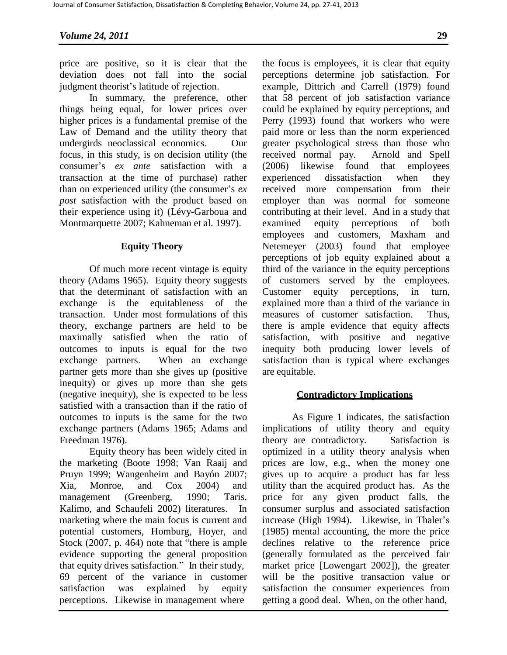price are positive, so it is clear that the deviation does not fall into the social judgment theorist's latitude of rejection.

In summary, the preference, other things being equal, for lower prices over higher prices is a fundamental premise of the Law of Demand and the utility theory that undergirds neoclassical economics. Our focus, in this study, is on decision utility (the consumer's *ex ante* satisfaction with a transaction at the time of purchase) rather than on experienced utility (the consumer's *ex post* satisfaction with the product based on their experience using it) (Lévy-Garboua and Montmarquette 2007; Kahneman et al. 1997).

# **Equity Theory**

Of much more recent vintage is equity theory (Adams 1965). Equity theory suggests that the determinant of satisfaction with an exchange is the equitableness of the transaction. Under most formulations of this theory, exchange partners are held to be maximally satisfied when the ratio of outcomes to inputs is equal for the two exchange partners. When an exchange partner gets more than she gives up (positive inequity) or gives up more than she gets (negative inequity), she is expected to be less satisfied with a transaction than if the ratio of outcomes to inputs is the same for the two exchange partners (Adams 1965; Adams and Freedman 1976).

Equity theory has been widely cited in the marketing (Boote 1998; Van Raaij and Pruyn 1999; Wangenheim and Bayón 2007; Xia, Monroe, and Cox 2004) and management (Greenberg, 1990; Taris, Kalimo, and Schaufeli 2002) literatures. In marketing where the main focus is current and potential customers, Homburg, Hoyer, and Stock (2007, p. 464) note that "there is ample evidence supporting the general proposition that equity drives satisfaction." In their study, 69 percent of the variance in customer satisfaction was explained by equity perceptions. Likewise in management where

the focus is employees, it is clear that equity perceptions determine job satisfaction. For example, Dittrich and Carrell (1979) found that 58 percent of job satisfaction variance could be explained by equity perceptions, and Perry (1993) found that workers who were paid more or less than the norm experienced greater psychological stress than those who received normal pay. Arnold and Spell (2006) likewise found that employees experienced dissatisfaction when they received more compensation from their employer than was normal for someone contributing at their level. And in a study that examined equity perceptions of both employees and customers, Maxham and Netemeyer (2003) found that employee perceptions of job equity explained about a third of the variance in the equity perceptions of customers served by the employees. Customer equity perceptions, in turn, explained more than a third of the variance in measures of customer satisfaction. Thus, there is ample evidence that equity affects satisfaction, with positive and negative inequity both producing lower levels of satisfaction than is typical where exchanges are equitable.

# **Contradictory Implications**

As Figure 1 indicates, the satisfaction implications of utility theory and equity theory are contradictory. Satisfaction is optimized in a utility theory analysis when prices are low, e.g., when the money one gives up to acquire a product has far less utility than the acquired product has. As the price for any given product falls, the consumer surplus and associated satisfaction increase (High 1994). Likewise, in Thaler's (1985) mental accounting, the more the price declines relative to the reference price (generally formulated as the perceived fair market price [Lowengart 2002]), the greater will be the positive transaction value or satisfaction the consumer experiences from getting a good deal. When, on the other hand,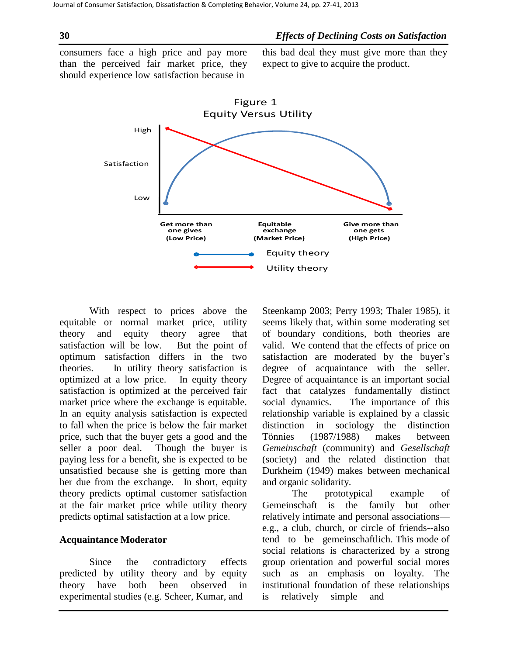# **30** *Effects of Declining Costs on Satisfaction*

consumers face a high price and pay more than the perceived fair market price, they should experience low satisfaction because in

this bad deal they must give more than they expect to give to acquire the product.



With respect to prices above the equitable or normal market price, utility theory and equity theory agree that satisfaction will be low. But the point of optimum satisfaction differs in the two theories. In utility theory satisfaction is optimized at a low price. In equity theory satisfaction is optimized at the perceived fair market price where the exchange is equitable. In an equity analysis satisfaction is expected to fall when the price is below the fair market price, such that the buyer gets a good and the seller a poor deal. Though the buyer is paying less for a benefit, she is expected to be unsatisfied because she is getting more than her due from the exchange. In short, equity theory predicts optimal customer satisfaction at the fair market price while utility theory predicts optimal satisfaction at a low price.

# **Acquaintance Moderator**

Since the contradictory effects predicted by utility theory and by equity theory have both been observed in experimental studies (e.g. Scheer, Kumar, and

Steenkamp 2003; Perry 1993; Thaler 1985), it seems likely that, within some moderating set of boundary conditions, both theories are valid. We contend that the effects of price on satisfaction are moderated by the buyer's degree of acquaintance with the seller. Degree of acquaintance is an important social fact that catalyzes fundamentally distinct social dynamics. The importance of this relationship variable is explained by a classic distinction in sociology—the distinction Tönnies (1987/1988) makes between *Gemeinschaft* (community) and *Gesellschaft*  (society) and the related distinction that Durkheim (1949) makes between mechanical and organic solidarity.

The prototypical example of Gemeinschaft is the family but other relatively intimate and personal associations e.g., a club, church, or circle of friends--also tend to be gemeinschaftlich. This mode of social relations is characterized by a strong group orientation and powerful social mores such as an emphasis on loyalty. The institutional foundation of these relationships is relatively simple and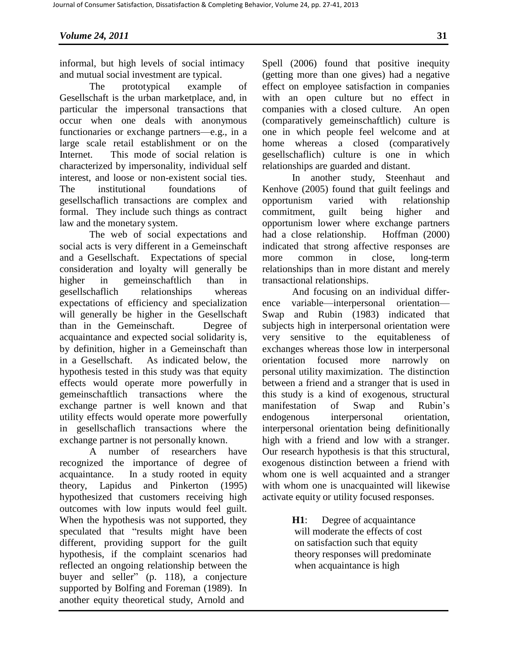informal, but high levels of social intimacy and mutual social investment are typical.

The prototypical example of Gesellschaft is the urban marketplace, and, in particular the impersonal transactions that occur when one deals with anonymous functionaries or exchange partners—e.g., in a large scale retail establishment or on the Internet. This mode of social relation is characterized by impersonality, individual self interest, and loose or non-existent social ties. The institutional foundations of gesellschaflich transactions are complex and formal. They include such things as contract law and the monetary system.

The web of social expectations and social acts is very different in a Gemeinschaft and a Gesellschaft. Expectations of special consideration and loyalty will generally be higher in gemeinschaftlich than in gesellschaflich relationships whereas expectations of efficiency and specialization will generally be higher in the Gesellschaft than in the Gemeinschaft. Degree of acquaintance and expected social solidarity is, by definition, higher in a Gemeinschaft than in a Gesellschaft. As indicated below, the hypothesis tested in this study was that equity effects would operate more powerfully in gemeinschaftlich transactions where the exchange partner is well known and that utility effects would operate more powerfully in gesellschaflich transactions where the exchange partner is not personally known.

A number of researchers have recognized the importance of degree of acquaintance. In a study rooted in equity theory, Lapidus and Pinkerton (1995) hypothesized that customers receiving high outcomes with low inputs would feel guilt. When the hypothesis was not supported, they speculated that "results might have been different, providing support for the guilt hypothesis, if the complaint scenarios had reflected an ongoing relationship between the buyer and seller" (p. 118), a conjecture supported by Bolfing and Foreman (1989). In another equity theoretical study, Arnold and

Spell (2006) found that positive inequity (getting more than one gives) had a negative effect on employee satisfaction in companies with an open culture but no effect in companies with a closed culture. An open (comparatively gemeinschaftlich) culture is one in which people feel welcome and at home whereas a closed (comparatively gesellschaflich) culture is one in which relationships are guarded and distant.

In another study, Steenhaut and Kenhove (2005) found that guilt feelings and opportunism varied with relationship commitment, guilt being higher and opportunism lower where exchange partners had a close relationship. Hoffman (2000) indicated that strong affective responses are more common in close, long-term relationships than in more distant and merely transactional relationships.

And focusing on an individual difference variable—interpersonal orientation— Swap and Rubin (1983) indicated that subjects high in interpersonal orientation were very sensitive to the equitableness of exchanges whereas those low in interpersonal orientation focused more narrowly on personal utility maximization. The distinction between a friend and a stranger that is used in this study is a kind of exogenous, structural manifestation of Swap and Rubin's endogenous interpersonal orientation, interpersonal orientation being definitionally high with a friend and low with a stranger. Our research hypothesis is that this structural, exogenous distinction between a friend with whom one is well acquainted and a stranger with whom one is unacquainted will likewise activate equity or utility focused responses.

> **H1**: Degree of acquaintance will moderate the effects of cost on satisfaction such that equity theory responses will predominate when acquaintance is high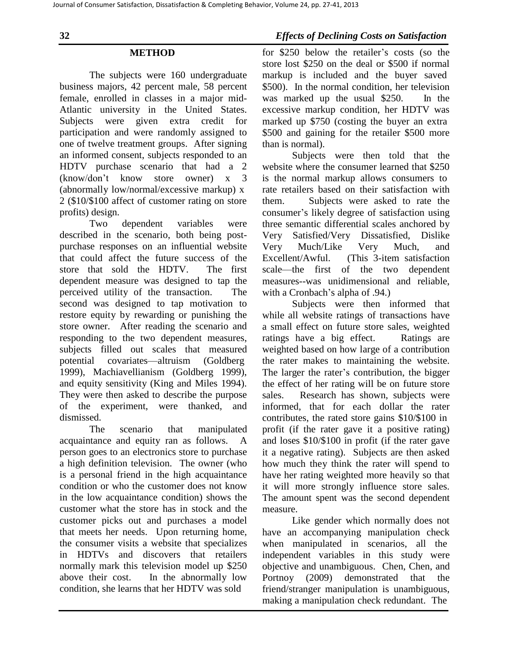### **METHOD**

The subjects were 160 undergraduate business majors, 42 percent male, 58 percent female, enrolled in classes in a major mid-Atlantic university in the United States. Subjects were given extra credit for participation and were randomly assigned to one of twelve treatment groups. After signing an informed consent, subjects responded to an HDTV purchase scenario that had a 2 (know/don't know store owner) x 3 (abnormally low/normal/excessive markup) x 2 (\$10/\$100 affect of customer rating on store profits) design.

Two dependent variables were described in the scenario, both being postpurchase responses on an influential website that could affect the future success of the store that sold the HDTV. The first dependent measure was designed to tap the perceived utility of the transaction. The second was designed to tap motivation to restore equity by rewarding or punishing the store owner. After reading the scenario and responding to the two dependent measures, subjects filled out scales that measured potential covariates—altruism (Goldberg 1999), Machiavellianism (Goldberg 1999), and equity sensitivity (King and Miles 1994). They were then asked to describe the purpose of the experiment, were thanked, and dismissed.

The scenario that manipulated acquaintance and equity ran as follows. A person goes to an electronics store to purchase a high definition television. The owner (who is a personal friend in the high acquaintance condition or who the customer does not know in the low acquaintance condition) shows the customer what the store has in stock and the customer picks out and purchases a model that meets her needs. Upon returning home, the consumer visits a website that specializes in HDTVs and discovers that retailers normally mark this television model up \$250 above their cost. In the abnormally low condition, she learns that her HDTV was sold

for \$250 below the retailer's costs (so the store lost \$250 on the deal or \$500 if normal markup is included and the buyer saved \$500). In the normal condition, her television was marked up the usual \$250. In the excessive markup condition, her HDTV was marked up \$750 (costing the buyer an extra \$500 and gaining for the retailer \$500 more than is normal).

Subjects were then told that the website where the consumer learned that \$250 is the normal markup allows consumers to rate retailers based on their satisfaction with them. Subjects were asked to rate the consumer's likely degree of satisfaction using three semantic differential scales anchored by Very Satisfied/Very Dissatisfied, Dislike Very Much/Like Very Much, and Excellent/Awful. (This 3-item satisfaction scale—the first of the two dependent measures--was unidimensional and reliable, with a Cronbach's alpha of  $.94$ .)

Subjects were then informed that while all website ratings of transactions have a small effect on future store sales, weighted ratings have a big effect. Ratings are weighted based on how large of a contribution the rater makes to maintaining the website. The larger the rater's contribution, the bigger the effect of her rating will be on future store sales. Research has shown, subjects were informed, that for each dollar the rater contributes, the rated store gains \$10/\$100 in profit (if the rater gave it a positive rating) and loses \$10/\$100 in profit (if the rater gave it a negative rating). Subjects are then asked how much they think the rater will spend to have her rating weighted more heavily so that it will more strongly influence store sales. The amount spent was the second dependent measure.

Like gender which normally does not have an accompanying manipulation check when manipulated in scenarios, all the independent variables in this study were objective and unambiguous. Chen, Chen, and Portnoy (2009) demonstrated that the friend/stranger manipulation is unambiguous, making a manipulation check redundant. The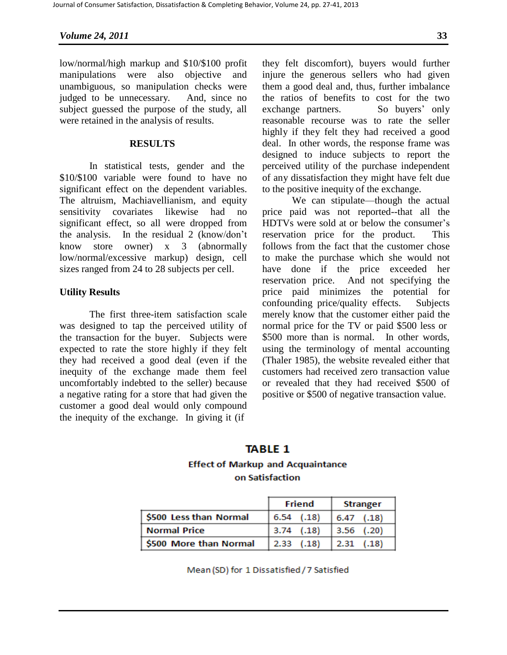# *Volume 24, 2011* **33**

low/normal/high markup and \$10/\$100 profit manipulations were also objective and unambiguous, so manipulation checks were judged to be unnecessary. And, since no subject guessed the purpose of the study, all were retained in the analysis of results.

### **RESULTS**

In statistical tests, gender and the \$10/\$100 variable were found to have no significant effect on the dependent variables. The altruism, Machiavellianism, and equity sensitivity covariates likewise had no significant effect, so all were dropped from the analysis. In the residual 2 (know/don't know store owner) x 3 (abnormally low/normal/excessive markup) design, cell sizes ranged from 24 to 28 subjects per cell.

#### **Utility Results**

The first three-item satisfaction scale was designed to tap the perceived utility of the transaction for the buyer. Subjects were expected to rate the store highly if they felt they had received a good deal (even if the inequity of the exchange made them feel uncomfortably indebted to the seller) because a negative rating for a store that had given the customer a good deal would only compound the inequity of the exchange. In giving it (if

they felt discomfort), buyers would further injure the generous sellers who had given them a good deal and, thus, further imbalance the ratios of benefits to cost for the two exchange partners. So buyers' only reasonable recourse was to rate the seller highly if they felt they had received a good deal. In other words, the response frame was designed to induce subjects to report the perceived utility of the purchase independent of any dissatisfaction they might have felt due to the positive inequity of the exchange.

We can stipulate—though the actual price paid was not reported--that all the HDTVs were sold at or below the consumer's reservation price for the product. This follows from the fact that the customer chose to make the purchase which she would not have done if the price exceeded her reservation price. And not specifying the price paid minimizes the potential for confounding price/quality effects. Subjects merely know that the customer either paid the normal price for the TV or paid \$500 less or \$500 more than is normal. In other words, using the terminology of mental accounting (Thaler 1985), the website revealed either that customers had received zero transaction value or revealed that they had received \$500 of positive or \$500 of negative transaction value.

# **TABLE 1 Effect of Markup and Acquaintance** on Satisfaction

|                        | Friend           | <b>Stranger</b> |  |
|------------------------|------------------|-----------------|--|
| S500 Less than Normal  | 6.54 (0.18)      | $6.47$ $(.18)$  |  |
| Normal Price           | $ 3.74 \t(.18) $ | $3.56$ (.20)    |  |
| \$500 More than Normal | $2.33$ $(.18)$   | $2.31$ (.18)    |  |

Mean (SD) for 1 Dissatisfied / 7 Satisfied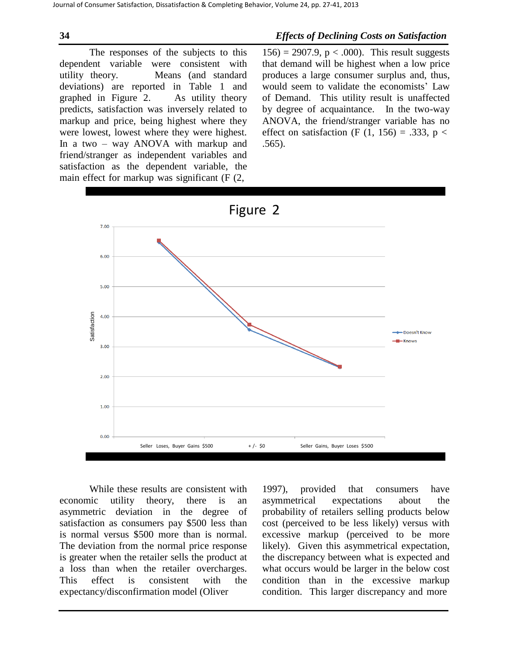# **34** *Effects of Declining Costs on Satisfaction*

The responses of the subjects to this dependent variable were consistent with utility theory. Means (and standard deviations) are reported in Table 1 and graphed in Figure 2. As utility theory predicts, satisfaction was inversely related to markup and price, being highest where they were lowest, lowest where they were highest. In a two – way ANOVA with markup and friend/stranger as independent variables and satisfaction as the dependent variable, the main effect for markup was significant (F (2,

156) = 2907.9,  $p < .000$ ). This result suggests that demand will be highest when a low price produces a large consumer surplus and, thus, would seem to validate the economists' Law of Demand. This utility result is unaffected by degree of acquaintance. In the two-way ANOVA, the friend/stranger variable has no effect on satisfaction (F  $(1, 156) = .333$ , p < .565).



While these results are consistent with economic utility theory, there is an asymmetric deviation in the degree of satisfaction as consumers pay \$500 less than is normal versus \$500 more than is normal. The deviation from the normal price response is greater when the retailer sells the product at a loss than when the retailer overcharges. This effect is consistent with the expectancy/disconfirmation model (Oliver

1997), provided that consumers have asymmetrical expectations about the probability of retailers selling products below cost (perceived to be less likely) versus with excessive markup (perceived to be more likely). Given this asymmetrical expectation, the discrepancy between what is expected and what occurs would be larger in the below cost condition than in the excessive markup condition. This larger discrepancy and more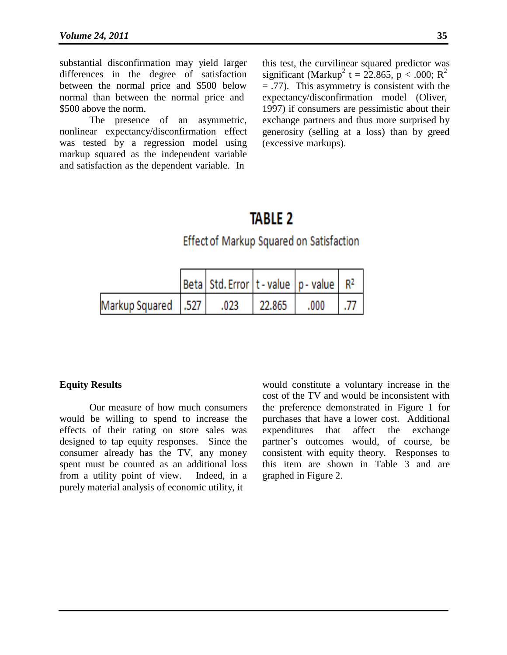substantial disconfirmation may yield larger differences in the degree of satisfaction between the normal price and \$500 below normal than between the normal price and \$500 above the norm.

The presence of an asymmetric, nonlinear expectancy/disconfirmation effect was tested by a regression model using markup squared as the independent variable and satisfaction as the dependent variable. In

this test, the curvilinear squared predictor was significant (Markup<sup>2</sup> t = 22.865, p < .000; R<sup>2</sup> = .77). This asymmetry is consistent with the expectancy/disconfirmation model (Oliver, 1997) if consumers are pessimistic about their exchange partners and thus more surprised by generosity (selling at a loss) than by greed (excessive markups).

# **TABLE 2**

# Effect of Markup Squared on Satisfaction

|                       | Beta  Std. Error   t - value   p - value   R <sup>2</sup> |        |       |  |
|-----------------------|-----------------------------------------------------------|--------|-------|--|
| Markup Squared   .527 | .023                                                      | 22.865 | .000. |  |

# **Equity Results**

Our measure of how much consumers would be willing to spend to increase the effects of their rating on store sales was designed to tap equity responses. Since the consumer already has the TV, any money spent must be counted as an additional loss from a utility point of view. Indeed, in a purely material analysis of economic utility, it

would constitute a voluntary increase in the cost of the TV and would be inconsistent with the preference demonstrated in Figure 1 for purchases that have a lower cost. Additional expenditures that affect the exchange partner's outcomes would, of course, be consistent with equity theory. Responses to this item are shown in Table 3 and are graphed in Figure 2.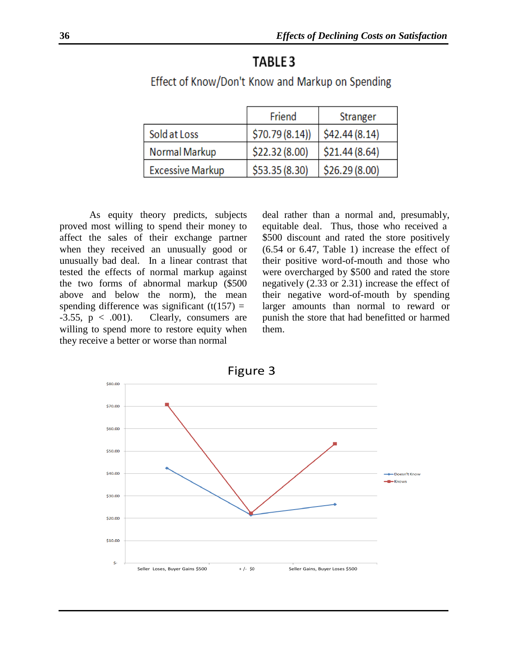# TABLE<sub>3</sub>

|                         | Friend         | Stranger      |
|-------------------------|----------------|---------------|
| Sold at Loss            | \$70.79(8.14)] | \$42.44(8.14) |
| <b>Normal Markup</b>    | \$22.32(8.00)  | \$21.44(8.64) |
| <b>Excessive Markup</b> | \$53.35(8.30)  | \$26.29(8.00) |

# Effect of Know/Don't Know and Markup on Spending

As equity theory predicts, subjects proved most willing to spend their money to affect the sales of their exchange partner when they received an unusually good or unusually bad deal. In a linear contrast that tested the effects of normal markup against the two forms of abnormal markup (\$500 above and below the norm), the mean spending difference was significant  $(t(157)) =$  $-3.55$ ,  $p < .001$ ). Clearly, consumers are willing to spend more to restore equity when they receive a better or worse than normal

deal rather than a normal and, presumably, equitable deal. Thus, those who received a \$500 discount and rated the store positively (6.54 or 6.47, Table 1) increase the effect of their positive word-of-mouth and those who were overcharged by \$500 and rated the store negatively (2.33 or 2.31) increase the effect of their negative word-of-mouth by spending larger amounts than normal to reward or punish the store that had benefitted or harmed them.

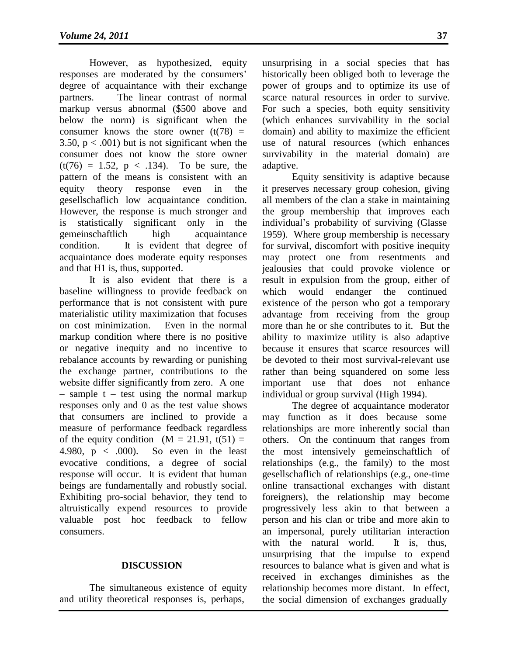However, as hypothesized, equity responses are moderated by the consumers' degree of acquaintance with their exchange partners. The linear contrast of normal markup versus abnormal (\$500 above and below the norm) is significant when the consumer knows the store owner  $(t(78))$  = 3.50,  $p < .001$ ) but is not significant when the consumer does not know the store owner  $(t(76) = 1.52, p < .134)$ . To be sure, the pattern of the means is consistent with an equity theory response even in the gesellschaflich low acquaintance condition. However, the response is much stronger and is statistically significant only in the gemeinschaftlich high acquaintance condition. It is evident that degree of acquaintance does moderate equity responses and that H1 is, thus, supported.

It is also evident that there is a baseline willingness to provide feedback on performance that is not consistent with pure materialistic utility maximization that focuses on cost minimization. Even in the normal markup condition where there is no positive or negative inequity and no incentive to rebalance accounts by rewarding or punishing the exchange partner, contributions to the website differ significantly from zero. A one  $-$  sample t – test using the normal markup responses only and 0 as the test value shows that consumers are inclined to provide a measure of performance feedback regardless of the equity condition  $(M = 21.91, t(51) =$ 4.980,  $p < .000$ ). So even in the least evocative conditions, a degree of social response will occur. It is evident that human beings are fundamentally and robustly social. Exhibiting pro-social behavior, they tend to altruistically expend resources to provide valuable post hoc feedback to fellow consumers.

# **DISCUSSION**

The simultaneous existence of equity and utility theoretical responses is, perhaps,

unsurprising in a social species that has historically been obliged both to leverage the power of groups and to optimize its use of scarce natural resources in order to survive. For such a species, both equity sensitivity (which enhances survivability in the social domain) and ability to maximize the efficient use of natural resources (which enhances survivability in the material domain) are adaptive.

Equity sensitivity is adaptive because it preserves necessary group cohesion, giving all members of the clan a stake in maintaining the group membership that improves each individual's probability of surviving (Glasse 1959). Where group membership is necessary for survival, discomfort with positive inequity may protect one from resentments and jealousies that could provoke violence or result in expulsion from the group, either of which would endanger the continued existence of the person who got a temporary advantage from receiving from the group more than he or she contributes to it. But the ability to maximize utility is also adaptive because it ensures that scarce resources will be devoted to their most survival-relevant use rather than being squandered on some less important use that does not enhance individual or group survival (High 1994).

The degree of acquaintance moderator may function as it does because some relationships are more inherently social than others. On the continuum that ranges from the most intensively gemeinschaftlich of relationships (e.g., the family) to the most gesellschaflich of relationships (e.g., one-time online transactional exchanges with distant foreigners), the relationship may become progressively less akin to that between a person and his clan or tribe and more akin to an impersonal, purely utilitarian interaction with the natural world. It is, thus, unsurprising that the impulse to expend resources to balance what is given and what is received in exchanges diminishes as the relationship becomes more distant. In effect, the social dimension of exchanges gradually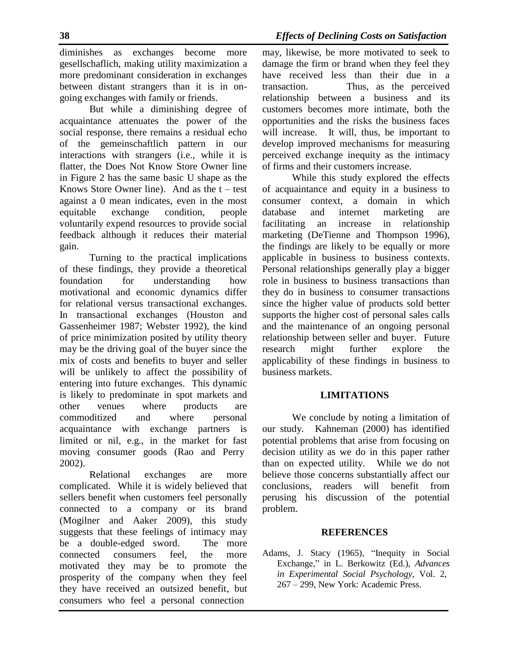diminishes as exchanges become more gesellschaflich, making utility maximization a more predominant consideration in exchanges between distant strangers than it is in ongoing exchanges with family or friends.

But while a diminishing degree of acquaintance attenuates the power of the social response, there remains a residual echo of the gemeinschaftlich pattern in our interactions with strangers (i.e., while it is flatter, the Does Not Know Store Owner line in Figure 2 has the same basic U shape as the Knows Store Owner line). And as the  $t - test$ against a 0 mean indicates, even in the most equitable exchange condition, people voluntarily expend resources to provide social feedback although it reduces their material gain.

Turning to the practical implications of these findings, they provide a theoretical foundation for understanding how motivational and economic dynamics differ for relational versus transactional exchanges. In transactional exchanges (Houston and Gassenheimer 1987; Webster 1992), the kind of price minimization posited by utility theory may be the driving goal of the buyer since the mix of costs and benefits to buyer and seller will be unlikely to affect the possibility of entering into future exchanges. This dynamic is likely to predominate in spot markets and other venues where products are commoditized and where personal acquaintance with exchange partners is limited or nil, e.g., in the market for fast moving consumer goods (Rao and Perry 2002).

Relational exchanges are more complicated. While it is widely believed that sellers benefit when customers feel personally connected to a company or its brand (Mogilner and Aaker 2009), this study suggests that these feelings of intimacy may be a double-edged sword. The more connected consumers feel, the more motivated they may be to promote the prosperity of the company when they feel they have received an outsized benefit, but consumers who feel a personal connection

may, likewise, be more motivated to seek to damage the firm or brand when they feel they have received less than their due in a transaction. Thus, as the perceived relationship between a business and its customers becomes more intimate, both the opportunities and the risks the business faces will increase. It will, thus, be important to develop improved mechanisms for measuring perceived exchange inequity as the intimacy of firms and their customers increase.

While this study explored the effects of acquaintance and equity in a business to consumer context, a domain in which database and internet marketing are facilitating an increase in relationship marketing (DeTienne and Thompson 1996), the findings are likely to be equally or more applicable in business to business contexts. Personal relationships generally play a bigger role in business to business transactions than they do in business to consumer transactions since the higher value of products sold better supports the higher cost of personal sales calls and the maintenance of an ongoing personal relationship between seller and buyer. Future research might further explore the applicability of these findings in business to business markets.

# **LIMITATIONS**

We conclude by noting a limitation of our study. Kahneman (2000) has identified potential problems that arise from focusing on decision utility as we do in this paper rather than on expected utility. While we do not believe those concerns substantially affect our conclusions, readers will benefit from perusing his discussion of the potential problem.

# **REFERENCES**

Adams, J. Stacy (1965), "Inequity in Social Exchange," in L. Berkowitz (Ed.), *Advances in Experimental Social Psychology*, Vol. 2, 267 – 299, New York: Academic Press.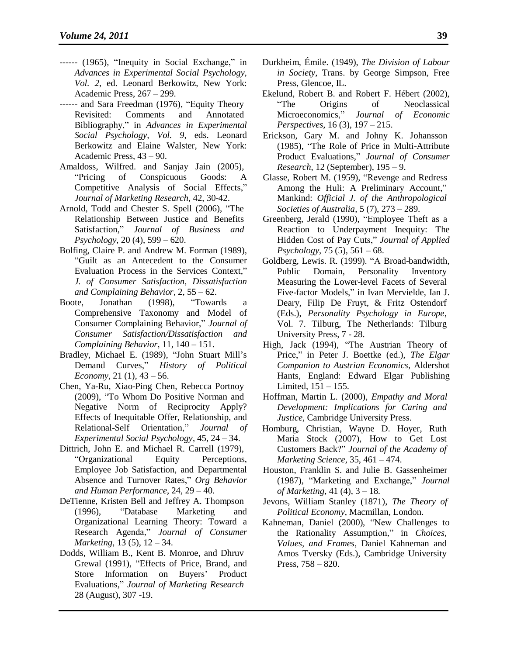- ------ (1965), "Inequity in Social Exchange," in *Advances in Experimental Social Psychology, Vol. 2*, ed. Leonard Berkowitz, New York: Academic Press, 267 – 299.
- ------ and Sara Freedman (1976), "Equity Theory Revisited: Comments and Annotated Bibliography," in *Advances in Experimental Social Psychology, Vol. 9*, eds. Leonard Berkowitz and Elaine Walster, New York: Academic Press, 43 – 90.
- Amaldoss, Wilfred. and Sanjay Jain (2005), "Pricing of Conspicuous Goods: A Competitive Analysis of Social Effects," *Journal of Marketing Research*, 42, 30-42.
- Arnold, Todd and Chester S. Spell (2006), "The Relationship Between Justice and Benefits Satisfaction," *Journal of Business and Psychology*, 20 (4), 599 – 620.
- Bolfing, Claire P. and Andrew M. Forman (1989), "Guilt as an Antecedent to the Consumer Evaluation Process in the Services Context," *J. of Consumer Satisfaction, Dissatisfaction and Complaining Behavior*, 2, 55 – 62.
- Boote, Jonathan (1998), "Towards a Comprehensive Taxonomy and Model of Consumer Complaining Behavior," *Journal of Consumer Satisfaction/Dissatisfaction and Complaining Behavior*, 11, 140 – 151.
- Bradley, Michael E. (1989), "John Stuart Mill's Demand Curves," *History of Political Economy*, 21 (1), 43 – 56.
- Chen, Ya-Ru, Xiao-Ping Chen, Rebecca Portnoy (2009), "To Whom Do Positive Norman and Negative Norm of Reciprocity Apply? Effects of Inequitable Offer, Relationship, and Relational-Self Orientation," *Journal of Experimental Social Psychology*, 45, 24 – 34.
- Dittrich, John E. and Michael R. Carrell (1979), "Organizational Equity Perceptions, Employee Job Satisfaction, and Departmental Absence and Turnover Rates," *Org Behavior and Human Performance*, 24, 29 – 40.
- DeTienne, Kristen Bell and Jeffrey A. Thompson (1996), "Database Marketing and Organizational Learning Theory: Toward a Research Agenda," *Journal of Consumer Marketing*, 13 (5), 12 – 34.
- Dodds, William B., Kent B. Monroe, and Dhruv Grewal (1991), "Effects of Price, Brand, and Store Information on Buyers' Product Evaluations," *Journal of Marketing Research* 28 (August), 307 -19.
- Durkheim, Émile. (1949), *The Division of Labour in Society*, Trans. by George Simpson, Free Press, Glencoe, IL.
- Ekelund, Robert B. and Robert F. Hébert (2002), "The Origins of Neoclassical Microeconomics," *Journal of Economic Perspectives*, 16 (3), 197 – 215.
- Erickson, Gary M. and Johny K. Johansson (1985), "The Role of Price in Multi-Attribute Product Evaluations," *Journal of Consumer Research*, 12 (September), 195 – 9.
- Glasse, Robert M. (1959), "Revenge and Redress Among the Huli: A Preliminary Account," Mankind: *Official J. of the Anthropological Societies of Australia*, 5 (7), 273 – 289.
- Greenberg, Jerald (1990), "Employee Theft as a Reaction to Underpayment Inequity: The Hidden Cost of Pay Cuts," *Journal of Applied Psychology*, 75 (5), 561 – 68.
- Goldberg, Lewis. R. (1999). "A Broad-bandwidth, Public Domain, Personality Inventory Measuring the Lower-level Facets of Several Five-factor Models," in Ivan Mervielde, Ian J. Deary, Filip De Fruyt, & Fritz Ostendorf (Eds.), *Personality Psychology in Europe*, Vol. 7. Tilburg, The Netherlands: Tilburg University Press, 7 - 28.
- High, Jack (1994), "The Austrian Theory of Price," in Peter J. Boettke (ed.), *The Elgar Companion to Austrian Economics*, Aldershot Hants, England: Edward Elgar Publishing Limited,  $151 - 155$ .
- Hoffman, Martin L. (2000), *Empathy and Moral Development: Implications for Caring and Justice*, Cambridge University Press.
- Homburg, Christian, Wayne D. Hoyer, Ruth Maria Stock (2007), How to Get Lost Customers Back?" *Journal of the Academy of Marketing Science*, 35, 461 – 474.
- Houston, Franklin S. and Julie B. Gassenheimer (1987), "Marketing and Exchange," *Journal of Marketing*, 41 (4), 3 – 18.
- Jevons, William Stanley (1871), *The Theory of Political Economy*, Macmillan, London.
- Kahneman, Daniel (2000), "New Challenges to the Rationality Assumption," in *Choices, Values, and Frames*, Daniel Kahneman and Amos Tversky (Eds.), Cambridge University Press, 758 – 820.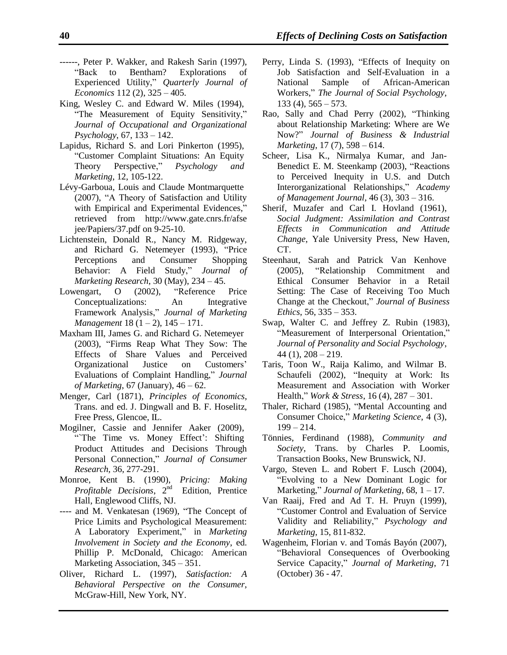- ------, Peter P. Wakker, and Rakesh Sarin (1997), "Back to Bentham? Explorations of Experienced Utility," *Quarterly Journal of Economics* 112 (2), 325 – 405.
- King, Wesley C. and Edward W. Miles (1994), "The Measurement of Equity Sensitivity," *Journal of Occupational and Organizational Psychology*, 67, 133 – 142.
- Lapidus, Richard S. and Lori Pinkerton (1995), "Customer Complaint Situations: An Equity Theory Perspective," *Psychology and Marketing*, 12, 105-122.
- Lévy-Garboua, Louis and Claude Montmarquette (2007), "A Theory of Satisfaction and Utility with Empirical and Experimental Evidences," retrieved from <http://www.gate.cnrs.fr/afse> jee/Papiers/37.pdf on 9-25-10.
- Lichtenstein, Donald R., Nancy M. Ridgeway, and Richard G. Netemeyer (1993), "Price Perceptions and Consumer Shopping Behavior: A Field Study," *Journal of Marketing Research*, 30 (May), 234 – 45.
- Lowengart, O (2002), "Reference Price Conceptualizations: An Integrative Framework Analysis," *Journal of Marketing Management* 18 (1 – 2), 145 – 171.
- Maxham III, James G. and Richard G. Netemeyer (2003), "Firms Reap What They Sow: The Effects of Share Values and Perceived Organizational Justice on Customers' Evaluations of Complaint Handling," *Journal of Marketing*, 67 (January), 46 – 62.
- Menger, Carl (1871), *Principles of Economics*, Trans. and ed. J. Dingwall and B. F. Hoselitz, Free Press, Glencoe, IL.
- Mogilner, Cassie and Jennifer Aaker (2009), "The Time vs. Money Effect': Shifting Product Attitudes and Decisions Through Personal Connection," *Journal of Consumer Research*, 36, 277-291.
- Monroe, Kent B. (1990), *Pricing: Making Profitable Decisions*, 2 Edition, Prentice Hall, Englewood Cliffs, NJ.
- ---- and M. Venkatesan (1969), "The Concept of Price Limits and Psychological Measurement: A Laboratory Experiment," in *Marketing Involvement in Society and the Economy*, ed. Phillip P. McDonald, Chicago: American Marketing Association, 345 – 351.
- Oliver, Richard L. (1997), *Satisfaction: A Behavioral Perspective on the Consumer*, McGraw-Hill, New York, NY.
- Perry, Linda S. (1993), "Effects of Inequity on Job Satisfaction and Self-Evaluation in a National Sample of African-American Workers," *The Journal of Social Psychology*,  $133 (4)$ ,  $565 - 573$ .
- Rao, Sally and Chad Perry (2002), "Thinking about Relationship Marketing: Where are We Now?" *Journal of Business & Industrial Marketing*, 17 (7), 598 – 614.
- Scheer, Lisa K., Nirmalya Kumar, and Jan-Benedict E. M. Steenkamp (2003), "Reactions to Perceived Inequity in U.S. and Dutch Interorganizational Relationships," *Academy of Management Journal*, 46 (3), 303 – 316.
- Sherif, Muzafer and Carl I. Hovland (1961), *Social Judgment: Assimilation and Contrast Effects in Communication and Attitude Change*, Yale University Press, New Haven, CT.
- Steenhaut, Sarah and Patrick Van Kenhove (2005), "Relationship Commitment and Ethical Consumer Behavior in a Retail Setting: The Case of Receiving Too Much Change at the Checkout," *Journal of Business Ethics*, 56, 335 – 353.
- Swap, Walter C. and Jeffrey Z. Rubin (1983), "Measurement of Interpersonal Orientation," *Journal of Personality and Social Psychology*,  $44$  (1),  $208 - 219$ .
- Taris, Toon W., Raija Kalimo, and Wilmar B. Schaufeli (2002), "Inequity at Work: Its Measurement and Association with Worker Health," *Work & Stress*, 16 (4), 287 – 301.
- Thaler, Richard (1985), "Mental Accounting and Consumer Choice," *Marketing Science*, 4 (3),  $199 - 214.$
- Tönnies, Ferdinand (1988), *Community and Society*, Trans. by Charles P. Loomis, Transaction Books, New Brunswick, NJ.
- Vargo, Steven L. and Robert F. Lusch (2004), "Evolving to a New Dominant Logic for Marketing," *Journal of Marketing*, 68, 1 – 17.
- Van Raaij, Fred and Ad T. H. Pruyn (1999), "Customer Control and Evaluation of Service Validity and Reliability," *Psychology and Marketing*, 15, 811-832.
- Wagenheim, Florian v. and Tomás Bayón (2007), "Behavioral Consequences of Overbooking Service Capacity," *Journal of Marketing*, 71 (October) 36 - 47.